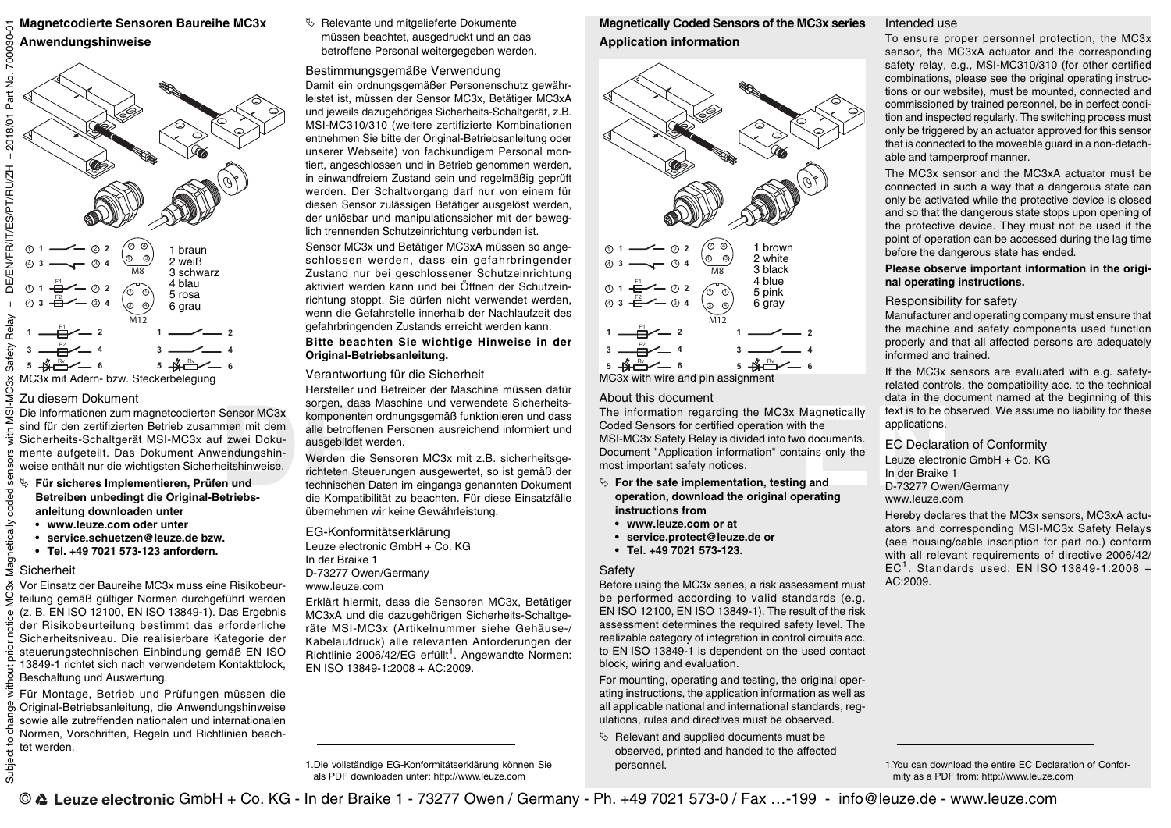**Magnetcodierte Sensoren Baureihe MC3x Anwendungshinweise**



#### Zu diesem Dokument

Sensor MC3x<br>
men mit dem<br>
f zwei Doku-<br>
f zwei Doku-<br>
eitshinweise.<br> **DEREN SENSE SENSOR NET MENTANGER SENSOR PRESSOR AND SENSOR PRESSON DESCRIPTION OF SENSING SPACE SENSING SPACE SENSING SPACE SENSING SPACE SCALE<br>
<b>DEREN** Die Informationen zum magnetcodierten Sensor MC3x sind für den zertifizierten Betrieb zusammen mit dem Sicherheits-Schaltgerät MSI-MC3x auf zwei Dokumente aufgeteilt. Das Dokument Anwendungshinweise enthält nur die wichtigsten Sicherheitshinweise.

- **Für sicheres Implementieren, Prüfen und Betreiben unbedingt die Original-Betriebsanleitung downloaden unter**
- **www.leuze.com oder unter**
- **service.schuetzen@leuze.de bzw.**
- **Tel. +49 7021 573-123 anfordern.**

Vor Einsatz der Baureihe MC3x muss eine Risikobeurteilung gemäß gültiger Normen durchgeführt werden (z. B. EN ISO 12100, EN ISO 13849-1). Das Ergebnis der Risikobeurteilung bestimmt das erforderliche Sicherheitsniveau. Die realisierbare Kategorie der steuerungstechnischen Einbindung gemäß EN ISO 13849-1 richtet sich nach verwendetem Kontaktblock, Beschaltung und Auswertung.

Für Montage, Betrieb und Prüfungen müssen die Original-Betriebsanleitung, die Anwendungshinweise sowie alle zutreffenden nationalen und internationalen Normen, Vorschriften, Regeln und Richtlinien beachtet werden.

 $\%$  Relevante und mitgelieferte Dokumente müssen beachtet, ausgedruckt und an das betroffene Personal weitergegeben werden.

# Bestimmungsgemäße Verwendung

Damit ein ordnungsgemäßer Personenschutz gewährleistet ist, müssen der Sensor MC3x, Betätiger MC3xA und jeweils dazugehöriges Sicherheits-Schaltgerät, z.B. MSI-MC310/310 (weitere zertifizierte Kombinationen entnehmen Sie bitte der Original-Betriebsanleitung oder unserer Webseite) von fachkundigem Personal montiert, angeschlossen und in Betrieb genommen werden, in einwandfreiem Zustand sein und regelmäßig geprüft werden. Der Schaltvorgang darf nur von einem für diesen Sensor zulässigen Betätiger ausgelöst werden, der unlösbar und manipulationssicher mit der beweglich trennenden Schutzeinrichtung verbunden ist.

Sensor MC3x und Betätiger MC3xA müssen so angeschlossen werden, dass ein gefahrbringender Zustand nur bei geschlossener Schutzeinrichtung aktiviert werden kann und bei Öffnen der Schutzeinrichtung stoppt. Sie dürfen nicht verwendet werden, wenn die Gefahrstelle innerhalb der Nachlaufzeit des gefahrbringenden Zustands erreicht werden kann.

**Bitte beachten Sie wichtige Hinweise in der Original-Betriebsanleitung.**

# Verantwortung für die Sicherheit

Hersteller und Betreiber der Maschine müssen dafür sorgen, dass Maschine und verwendete Sicherheitskomponenten ordnungsgemäß funktionieren und dass alle betroffenen Personen ausreichend informiert und ausgebildet werden.

Werden die Sensoren MC3x mit z.B. sicherheitsgerichteten Steuerungen ausgewertet, so ist gemäß der technischen Daten im eingangs genannten Dokument die Kompatibilität zu beachten. Für diese Einsatzfälle übernehmen wir keine Gewährleistung.

EG-Konformitätserklärung Leuze electronic GmbH + Co. KG In der Braike 1 D-73277 Owen/Germany www.leuze.com

Erklärt hiermit, dass die Sensoren MC3x, Betätiger MC3xA und die dazugehörigen Sicherheits-Schaltgeräte MSI-MC3x (Artikelnummer siehe Gehäuse-/ Kabelaufdruck) alle relevanten Anforderungen der Richtlinie 2006/42/EG erfüllt<sup>1</sup>. Angewandte Normen: EN ISO 13849-1:2008 + AC:2009.

1.Die vollständige EG-Konformitätserklärung können Sie als PDF downloaden unter: http://www.leuze.com

**Magnetically Coded Sensors of the MC3x series Application information**



MC3x with wire and pin assignment

## About this document

Magnetically<br>
that is to be of<br>
the the deplications.<br> **EC Declarat**<br>
tains only the<br>
Leuze electro<br>
In der Braike<br> **EC Declarat**<br>
Leuze electro<br>
In der Braike<br>
D-73277 Owe<br>
www.leuze.cc The information regarding the MC3x Magnetically Coded Sensors for certified operation with the MSI-MC3x Safety Relay is divided into two documents. Document "Application information" contains only the most important safety notices.

- **For the safe implementation, testing and operation, download the original operating instructions from**
- **www.leuze.com or at**
- **service.protect@leuze.de or**
- **Tel. +49 7021 573-123.**

#### Safety

Before using the MC3x series, a risk assessment must be performed according to valid standards (e.g. EN ISO 12100, EN ISO 13849-1). The result of the risk assessment determines the required safety level. The realizable category of integration in control circuits acc. to EN ISO 13849-1 is dependent on the used contact block, wiring and evaluation.

For mounting, operating and testing, the original operating instructions, the application information as well as all applicable national and international standards, regulations, rules and directives must be observed.

 $\%$  Relevant and supplied documents must be observed, printed and handed to the affected personnel.

## Intended use

To ensure proper personnel protection, the MC3x sensor, the MC3xA actuator and the corresponding safety relay, e.g., MSI-MC310/310 (for other certified combinations, please see the original operating instructions or our website), must be mounted, connected and commissioned by trained personnel, be in perfect condition and inspected regularly. The switching process must only be triggered by an actuator approved for this sensor that is connected to the moveable guard in a non-detachable and tamperproof manner.

The MC3x sensor and the MC3xA actuator must be connected in such a way that a dangerous state can only be activated while the protective device is closed and so that the dangerous state stops upon opening of the protective device. They must not be used if the point of operation can be accessed during the lag time before the dangerous state has ended.

**Please observe important information in the original operating instructions.**

# Responsibility for safety

Manufacturer and operating company must ensure that the machine and safety components used function properly and that all affected persons are adequately informed and trained.

If the MC3x sensors are evaluated with e.g. safetyrelated controls, the compatibility acc. to the technical data in the document named at the beginning of this text is to be observed. We assume no liability for these applications.

EC Declaration of Conformity

Leuze electronic GmbH + Co. KG In der Braike 1 D-73277 Owen/Germany www.leuze.com

Hereby declares that the MC3x sensors, MC3xA actuators and corresponding MSI-MC3x Safety Relays (see housing/cable inscription for part no.) conform with all relevant requirements of directive 2006/42/ EC<sup>1</sup>. Standards used: EN ISO 13849-1:2008 + AC:2009.

Subject to change without prior notice MC3x Magnetically coded sensors with MSI-MC3x Safety Relay – DE/EN/FR/IT/ES/PT/RU/ZH – 2018/01 Part No. 700030-01 -2018/01 Part No. 700030 DE/EN/FR/IT/ES/PT/RU/ZH Safety Relay 5 ser gnetically coded ŝ **Sicherheit** న

용

Subject t

<sup>1.</sup>You can download the entire EC Declaration of Conformity as a PDF from: http://www.leuze.com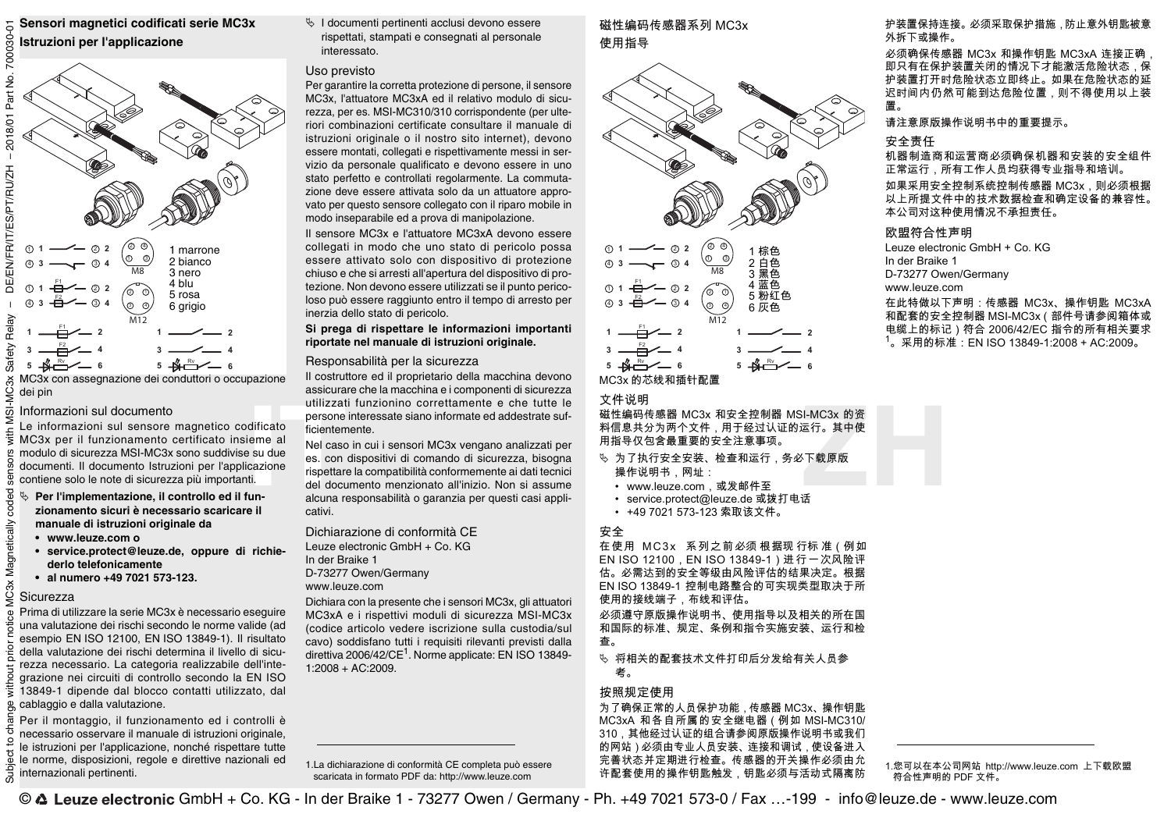**Sensori magnetici codificati serie MC3x Istruzioni per l'applicazione**



MC3x con assegnazione dei conduttori o occupazione dei pin

#### Informazioni sul documento

Le informazioni sul sensore magnetico codificato MC3x per il funzionamento certificato insieme al modulo di sicurezza MSI-MC3x sono suddivise su due documenti. Il documento Istruzioni per l'applicazione contiene solo le note di sicurezza più importanti.

- **Per l'implementazione, il controllo ed il funzionamento sicuri è necessario scaricare il manuale di istruzioni originale da**
	- **www.leuze.com o**
	- **service.protect@leuze.de, oppure di richiederlo telefonicamente**
	- **al numero +49 7021 573-123.**

#### **Sicurezza**

5

**JC3x Magnetically coded** 

Զ

Subject

Prima di utilizzare la serie MC3x è necessario eseguire una valutazione dei rischi secondo le norme valide (ad esempio EN ISO 12100, EN ISO 13849-1). Il risultato della valutazione dei rischi determina il livello di sicurezza necessario. La categoria realizzabile dell'integrazione nei circuiti di controllo secondo la EN ISO 13849-1 dipende dal blocco contatti utilizzato, dal cablaggio e dalla valutazione.

Per il montaggio, il funzionamento ed i controlli è necessario osservare il manuale di istruzioni originale, le istruzioni per l'applicazione, nonché rispettare tutte le norme, disposizioni, regole e direttive nazionali ed internazionali pertinenti.

 I documenti pertinenti acclusi devono essere rispettati, stampati e consegnati al personale interessato.

## Uso previsto

Per garantire la corretta protezione di persone, il sensore MC3x, l'attuatore MC3xA ed il relativo modulo di sicurezza, per es. MSI-MC310/310 corrispondente (per ulteriori combinazioni certificate consultare il manuale di istruzioni originale o il nostro sito internet), devono essere montati, collegati e rispettivamente messi in servizio da personale qualificato e devono essere in uno stato perfetto e controllati regolarmente. La commutazione deve essere attivata solo da un attuatore approvato per questo sensore collegato con il riparo mobile in modo inseparabile ed a prova di manipolazione.

Il sensore MC3x e l'attuatore MC3xA devono essere collegati in modo che uno stato di pericolo possa essere attivato solo con dispositivo di protezione chiuso e che si arresti all'apertura del dispositivo di protezione. Non devono essere utilizzati se il punto pericoloso può essere raggiunto entro il tempo di arresto per inerzia dello stato di pericolo.

## **Si prega di rispettare le informazioni importanti riportate nel manuale di istruzioni originale.**

## Responsabilità per la sicurezza

Il costruttore ed il proprietario della macchina devono assicurare che la macchina e i componenti di sicurezza utilizzati funzionino correttamente e che tutte le persone interessate siano informate ed addestrate sufficientemente.

**IT ZH** Nel caso in cui i sensori MC3x vengano analizzati per es. con dispositivi di comando di sicurezza, bisogna rispettare la compatibilità conformemente ai dati tecnici del documento menzionato all'inizio. Non si assume alcuna responsabilità o garanzia per questi casi applicativi.

Dichiarazione di conformità CE Leuze electronic GmbH + Co. KG In der Braike 1 D-73277 Owen/Germany www.leuze.com

Dichiara con la presente che i sensori MC3x, gli attuatori MC3xA e i rispettivi moduli di sicurezza MSI-MC3x (codice articolo vedere iscrizione sulla custodia/sul cavo) soddisfano tutti i requisiti rilevanti previsti dalla direttiva 2006/42/CE<sup>1</sup>. Norme applicate: EN ISO 13849-1:2008 + AC:2009.

1.La dichiarazione di conformità CE completa può essere scaricata in formato PDF da: http://www.leuze.com

# 磁性编码传感器系列 MC3x 使用指导



## 文件说明

磁性编码传感器 MC3x 和安全控制器 MSI-MC3x 的资 料信息共分为两个文件,用于经过认证的运行。其中使 用指导仅包含最重要的安全注意事项。

- % 为了执行安全安装、检查和运行,务必下载原版 操作说明书, 网址:
	- www.leuze.com, 或发邮件至
	- service.protect@leuze.de 或拨打电话
	- +49 7021 573-123 索取该文件。

## 安全

在使用 MC3x 系列之前必须根据现行标准 (例如 EN ISO 12100 . EN ISO 13849-1) 进行一次风险评 估。必需达到的安全等级由风险评估的结果决定。根据 EN ISO 13849-1 控制电路整合的可实现类型取决于所 使用的接线端子,布线和评估。

必须遵守原版操作说明书、使用指导以及相关的所在国 和国际的标准、规定、条例和指令实施安装、运行和检 杳。

 ⺕䦇␂䤓揜⯦㔏㦾㠖ↅ㓢◿⚝⒕♠全㦘␂ⅉ⛧♑ 劒ᇭ

## 按照规定使用

为了确保正常的人员保护功能, 传感器 MC3x、操作钥匙 MC3xA 和各自所属的安全继电器 (例如 MSI-MC310/ 310,其他经过认证的组合请参阅原版操作说明书或我们 的网站)必须由专业人员安装、连接和调试,使设备进入 完善状态并定期进行检查。传感器的开关操作必须由允 许配套使用的操作钥匙触发,钥匙必须与活动式隔离防 护装置保持连接。必须采取保护措施,防止意外钥匙被意 外拆下或操作。

 $\overline{W}$ 须确保传感器 MC3x 和操作钥匙 MC3xA 连接正确 即只有在保护装置关闭的情况下才能激活危险状态,保 护装置打开时危险状态立即终止。如果在危险状态的延 迟时间内仍然可能到达危险位置,则不得使用以上装 函ᇭ

请注意原版操作说明书中的重要提示。

# 安全责任

机器制造商和运营商必须确保机器和安装的安全组件 正常运行,所有工作人员均获得专业指导和培训。 如果采用安全控制系统控制传感器 MC3x,则必须根据 以上所提文件中的技术数据检查和确定设备的兼容性。 本公司对这种使用情况不承担责任。

## 欧盟符合性声明

Leuze electronic GmbH + Co. KG In der Braike 1 D-73277 Owen/Germany www.leuze.com

在此特做以下声明: 传感器 MC3x、操作钥匙 MC3xA 和配套的安全控制器 MSI-MC3x (部件号请参阅箱体或 电缆上的标记) 符合 2006/42/EC 指令的所有相关要求  $1<sub>o</sub>$  采用的标准:EN ISO 13849-1:2008 + AC:2009。



<sup>1.</sup>您可以在本公司网站 http://www.leuze.com 上下载欧盟 符合性声明的 PDF 文件。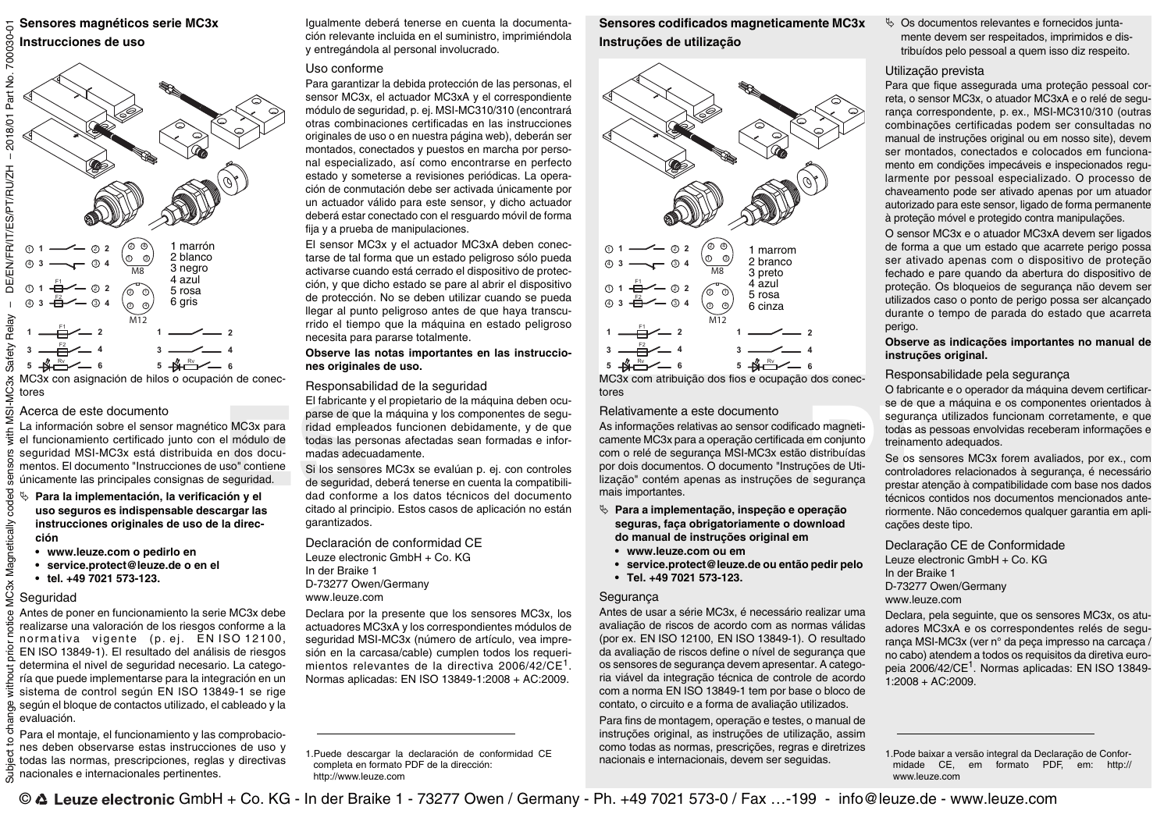# **Sensores magnéticos serie MC3x**



MC3x con asignación de hilos o ocupación de conectores

#### Acerca de este documento

El rapidade mediante parse de que<br>
el módulo de todas las per<br>
el módulo de todas las per<br>
espuridades de seguridades de seguridades de seguridades de seguridad<br>
espuridades de seguridades de seguridades de seguridades de La información sobre el sensor magnético MC3x para el funcionamiento certificado junto con el módulo de seguridad MSI-MC3x está distribuida en dos documentos. El documento "Instrucciones de uso" contiene únicamente las principales consignas de seguridad.

- **Para la implementación, la verificación y el uso seguros es indispensable descargar las instrucciones originales de uso de la dirección**
	- **www.leuze.com o pedirlo en**
	- **service.protect@leuze.de o en el**
	- **tel. +49 7021 573-123.**

## Seguridad

ក

**IC3x Magnetically coded** 

 $\frac{0}{D}$ 

Antes de poner en funcionamiento la serie MC3x debe realizarse una valoración de los riesgos conforme a la normativa vigente (p. ej. EN ISO 12100, EN ISO 13849-1). El resultado del análisis de riesgos determina el nivel de seguridad necesario. La categoría que puede implementarse para la integración en un sistema de control según EN ISO 13849-1 se rige según el bloque de contactos utilizado, el cableado y la evaluación.

Para el montaje, el funcionamiento y las comprobaciones deben observarse estas instrucciones de uso y todas las normas, prescripciones, reglas y directivas nacionales e internacionales pertinentes.

Igualmente deberá tenerse en cuenta la documentación relevante incluida en el suministro, imprimiéndola y entregándola al personal involucrado.

## Uso conforme

Para garantizar la debida protección de las personas, el sensor MC3x, el actuador MC3xA y el correspondiente módulo de seguridad, p. ej. MSI-MC310/310 (encontrará otras combinaciones certificadas en las instrucciones originales de uso o en nuestra página web), deberán ser montados, conectados y puestos en marcha por personal especializado, así como encontrarse en perfecto estado y someterse a revisiones periódicas. La operación de conmutación debe ser activada únicamente por un actuador válido para este sensor, y dicho actuador deberá estar conectado con el resguardo móvil de forma fija y a prueba de manipulaciones.

El sensor MC3x y el actuador MC3xA deben conectarse de tal forma que un estado peligroso sólo pueda activarse cuando está cerrado el dispositivo de protección, y que dicho estado se pare al abrir el dispositivo de protección. No se deben utilizar cuando se pueda llegar al punto peligroso antes de que haya transcurrido el tiempo que la máquina en estado peligroso necesita para pararse totalmente.

#### **Observe las notas importantes en las instrucciones originales de uso.**

#### Responsabilidad de la seguridad

El fabricante y el propietario de la máquina deben ocuparse de que la máquina y los componentes de seguridad empleados funcionen debidamente, y de que todas las personas afectadas sean formadas e informadas adecuadamente.

Si los sensores MC3x se evalúan p. ej. con controles de seguridad, deberá tenerse en cuenta la compatibilidad conforme a los datos técnicos del documento citado al principio. Estos casos de aplicación no están garantizados.

Declaración de conformidad CE Leuze electronic GmbH + Co. KG In der Braike 1 D-73277 Owen/Germany www.leuze.com

Declara por la presente que los sensores MC3x, los actuadores MC3xA y los correspondientes módulos de seguridad MSI-MC3x (número de artículo, vea impresión en la carcasa/cable) cumplen todos los requerimientos relevantes de la directiva 2006/42/CE<sup>1</sup>. Normas aplicadas: EN ISO 13849-1:2008 + AC:2009.

1.Puede descargar la declaración de conformidad CE completa en formato PDF de la dirección: http://www.leuze.com

**Sensores codificados magneticamente MC3x Instruções de utilização**



MC3x com atribuição dos fios e ocupação dos conectores

#### Relativamente a este documento

se de que a<br>
ado magneti-<br>
em conjunto<br>
em conjunto<br>
distribuídas<br>
o distribuídas<br>
gores de Uti-<br>
e segurança<br>
prestar atença<br>
técnicos con<br>
presentes de prestar atença<br>
técnicos con<br>
presentes de prestar atença<br>
técnicos As informações relativas ao sensor codificado magneticamente MC3x para a operação certificada em conjunto com o relé de segurança MSI-MC3x estão distribuídas por dois documentos. O documento "Instruções de Utilização" contém apenas as instruções de segurança mais importantes.

- **Para a implementação, inspeção e operação seguras, faça obrigatoriamente o download do manual de instruções original em**
	- **www.leuze.com ou em**
	- **service.protect@leuze.de ou então pedir pelo**
	- **Tel. +49 7021 573-123.**

## Segurança

Antes de usar a série MC3x, é necessário realizar uma avaliação de riscos de acordo com as normas válidas (por ex. EN ISO 12100, EN ISO 13849-1). O resultado da avaliação de riscos define o nível de segurança que os sensores de segurança devem apresentar. A categoria viável da integração técnica de controle de acordo com a norma EN ISO 13849-1 tem por base o bloco de contato, o circuito e a forma de avaliação utilizados.

Para fins de montagem, operação e testes, o manual de instruções original, as instruções de utilização, assim como todas as normas, prescrições, regras e diretrizes nacionais e internacionais, devem ser seguidas.

 Os documentos relevantes e fornecidos juntamente devem ser respeitados, imprimidos e distribuídos pelo pessoal a quem isso diz respeito.

# Utilização prevista

Para que fique assegurada uma proteção pessoal correta, o sensor MC3x, o atuador MC3xA e o relé de segurança correspondente, p. ex., MSI-MC310/310 (outras combinações certificadas podem ser consultadas no manual de instruções original ou em nosso site), devem ser montados, conectados e colocados em funcionamento em condições impecáveis e inspecionados regularmente por pessoal especializado. O processo de chaveamento pode ser ativado apenas por um atuador autorizado para este sensor, ligado de forma permanente à proteção móvel e protegido contra manipulações.

O sensor MC3x e o atuador MC3xA devem ser ligados de forma a que um estado que acarrete perigo possa ser ativado apenas com o dispositivo de proteção fechado e pare quando da abertura do dispositivo de proteção. Os bloqueios de segurança não devem ser utilizados caso o ponto de perigo possa ser alcançado durante o tempo de parada do estado que acarreta perigo.

#### **Observe as indicações importantes no manual de instruções original.**

# Responsabilidade pela segurança

O fabricante e o operador da máquina devem certificarse de que a máquina e os componentes orientados à segurança utilizados funcionam corretamente, e que todas as pessoas envolvidas receberam informações e treinamento adequados.

Se os sensores MC3x forem avaliados, por ex., com controladores relacionados à segurança, é necessário prestar atenção à compatibilidade com base nos dados técnicos contidos nos documentos mencionados anteriormente. Não concedemos qualquer garantia em aplicações deste tipo.

Declaração CE de Conformidade Leuze electronic GmbH + Co. KG In der Braike 1

D-73277 Owen/Germany www.leuze.com

Declara, pela seguinte, que os sensores MC3x, os atuadores MC3xA e os correspondentes relés de segurança MSI-MC3x (ver n° da peça impresso na carcaça / no cabo) atendem a todos os requisitos da diretiva europeia 2006/42/CE<sup>1</sup>. Normas aplicadas: EN ISO 13849-1:2008 + AC:2009.

1.Pode baixar a versão integral da Declaração de Conformidade CE, em formato PDF, em: http:// www.leuze.com

© △ Leuze electronic GmbH + Co. KG - In der Braike 1 - 73277 Owen / Germany - Ph. +49 7021 573-0 / Fax ...-199 - info@leuze.de - www.leuze.com